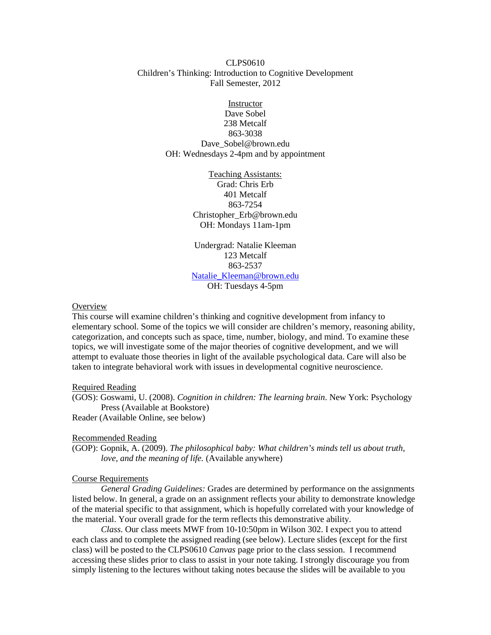# CLPS0610 Children's Thinking: Introduction to Cognitive Development Fall Semester, 2012

Instructor Dave Sobel 238 Metcalf 863-3038 Dave\_Sobel@brown.edu OH: Wednesdays 2-4pm and by appointment

> Teaching Assistants: Grad: Chris Erb 401 Metcalf 863-7254 Christopher\_Erb@brown.edu OH: Mondays 11am-1pm

Undergrad: Natalie Kleeman 123 Metcalf 863-2537 [Natalie\\_Kleeman@brown.edu](mailto:Natalie_Kleeman@brown.edu) OH: Tuesdays 4-5pm

## **Overview**

This course will examine children's thinking and cognitive development from infancy to elementary school. Some of the topics we will consider are children's memory, reasoning ability, categorization, and concepts such as space, time, number, biology, and mind. To examine these topics, we will investigate some of the major theories of cognitive development, and we will attempt to evaluate those theories in light of the available psychological data. Care will also be taken to integrate behavioral work with issues in developmental cognitive neuroscience.

#### Required Reading

(GOS): Goswami, U. (2008). *Cognition in children: The learning brain*. New York: Psychology Press (Available at Bookstore)

Reader (Available Online, see below)

# Recommended Reading

(GOP): Gopnik, A. (2009). *The philosophical baby: What children's minds tell us about truth, love, and the meaning of life.* (Available anywhere)

## Course Requirements

*General Grading Guidelines:* Grades are determined by performance on the assignments listed below. In general, a grade on an assignment reflects your ability to demonstrate knowledge of the material specific to that assignment, which is hopefully correlated with your knowledge of the material. Your overall grade for the term reflects this demonstrative ability.

*Class*. Our class meets MWF from 10-10:50pm in Wilson 302. I expect you to attend each class and to complete the assigned reading (see below). Lecture slides (except for the first class) will be posted to the CLPS0610 *Canvas* page prior to the class session. I recommend accessing these slides prior to class to assist in your note taking. I strongly discourage you from simply listening to the lectures without taking notes because the slides will be available to you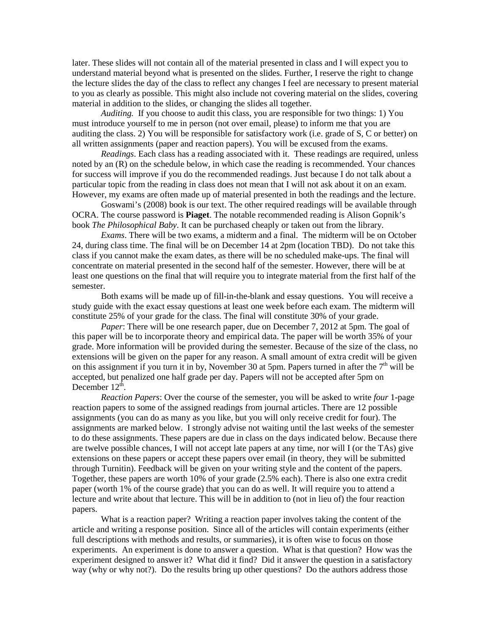later. These slides will not contain all of the material presented in class and I will expect you to understand material beyond what is presented on the slides. Further, I reserve the right to change the lecture slides the day of the class to reflect any changes I feel are necessary to present material to you as clearly as possible. This might also include not covering material on the slides, covering material in addition to the slides, or changing the slides all together.

*Auditing.* If you choose to audit this class, you are responsible for two things: 1) You must introduce yourself to me in person (not over email, please) to inform me that you are auditing the class. 2) You will be responsible for satisfactory work (i.e. grade of S, C or better) on all written assignments (paper and reaction papers). You will be excused from the exams.

*Readings*. Each class has a reading associated with it. These readings are required, unless noted by an (R) on the schedule below, in which case the reading is recommended. Your chances for success will improve if you do the recommended readings. Just because I do not talk about a particular topic from the reading in class does not mean that I will not ask about it on an exam. However, my exams are often made up of material presented in both the readings and the lecture.

Goswami's (2008) book is our text. The other required readings will be available through OCRA. The course password is **Piaget**. The notable recommended reading is Alison Gopnik's book *The Philosophical Baby*. It can be purchased cheaply or taken out from the library.

*Exams*. There will be two exams, a midterm and a final. The midterm will be on October 24, during class time. The final will be on December 14 at 2pm (location TBD). Do not take this class if you cannot make the exam dates, as there will be no scheduled make-ups. The final will concentrate on material presented in the second half of the semester. However, there will be at least one questions on the final that will require you to integrate material from the first half of the semester.

Both exams will be made up of fill-in-the-blank and essay questions. You will receive a study guide with the exact essay questions at least one week before each exam. The midterm will constitute 25% of your grade for the class. The final will constitute 30% of your grade.

*Paper*: There will be one research paper, due on December 7, 2012 at 5pm. The goal of this paper will be to incorporate theory and empirical data. The paper will be worth 35% of your grade. More information will be provided during the semester. Because of the size of the class, no extensions will be given on the paper for any reason. A small amount of extra credit will be given on this assignment if you turn it in by, November 30 at 5pm. Papers turned in after the  $7<sup>th</sup>$  will be accepted, but penalized one half grade per day. Papers will not be accepted after 5pm on December  $12^{\text{th}}$ .

*Reaction Papers*: Over the course of the semester, you will be asked to write *four* 1-page reaction papers to some of the assigned readings from journal articles. There are 12 possible assignments (you can do as many as you like, but you will only receive credit for four). The assignments are marked below. I strongly advise not waiting until the last weeks of the semester to do these assignments. These papers are due in class on the days indicated below. Because there are twelve possible chances, I will not accept late papers at any time, nor will I (or the TAs) give extensions on these papers or accept these papers over email (in theory, they will be submitted through Turnitin). Feedback will be given on your writing style and the content of the papers. Together, these papers are worth 10% of your grade (2.5% each). There is also one extra credit paper (worth 1% of the course grade) that you can do as well. It will require you to attend a lecture and write about that lecture. This will be in addition to (not in lieu of) the four reaction papers.

What is a reaction paper? Writing a reaction paper involves taking the content of the article and writing a response position. Since all of the articles will contain experiments (either full descriptions with methods and results, or summaries), it is often wise to focus on those experiments. An experiment is done to answer a question. What is that question? How was the experiment designed to answer it? What did it find? Did it answer the question in a satisfactory way (why or why not?). Do the results bring up other questions? Do the authors address those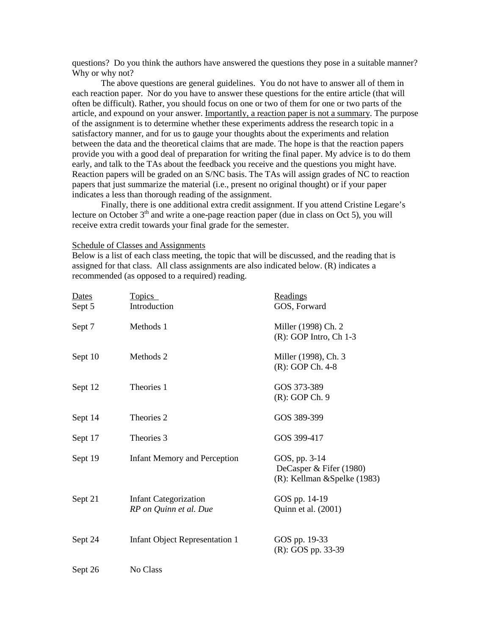questions? Do you think the authors have answered the questions they pose in a suitable manner? Why or why not?

The above questions are general guidelines. You do not have to answer all of them in each reaction paper. Nor do you have to answer these questions for the entire article (that will often be difficult). Rather, you should focus on one or two of them for one or two parts of the article, and expound on your answer. Importantly, a reaction paper is not a summary. The purpose of the assignment is to determine whether these experiments address the research topic in a satisfactory manner, and for us to gauge your thoughts about the experiments and relation between the data and the theoretical claims that are made. The hope is that the reaction papers provide you with a good deal of preparation for writing the final paper. My advice is to do them early, and talk to the TAs about the feedback you receive and the questions you might have. Reaction papers will be graded on an S/NC basis. The TAs will assign grades of NC to reaction papers that just summarize the material (i.e., present no original thought) or if your paper indicates a less than thorough reading of the assignment.

Finally, there is one additional extra credit assignment. If you attend Cristine Legare's lecture on October  $3<sup>th</sup>$  and write a one-page reaction paper (due in class on Oct 5), you will receive extra credit towards your final grade for the semester.

Schedule of Classes and Assignments

Below is a list of each class meeting, the topic that will be discussed, and the reading that is assigned for that class. All class assignments are also indicated below. (R) indicates a recommended (as opposed to a required) reading.

| <b>Dates</b> | <b>Topics</b>                                          | Readings                                                                 |
|--------------|--------------------------------------------------------|--------------------------------------------------------------------------|
| Sept 5       | Introduction                                           | GOS, Forward                                                             |
| Sept 7       | Methods 1                                              | Miller (1998) Ch. 2<br>$(R)$ : GOP Intro, Ch 1-3                         |
| Sept 10      | Methods 2                                              | Miller (1998), Ch. 3<br>(R): GOP Ch. 4-8                                 |
| Sept 12      | Theories 1                                             | GOS 373-389<br>$(R)$ : GOP Ch. 9                                         |
| Sept 14      | Theories 2                                             | GOS 389-399                                                              |
| Sept 17      | Theories 3                                             | GOS 399-417                                                              |
| Sept 19      | <b>Infant Memory and Perception</b>                    | GOS, pp. 3-14<br>DeCasper & Fifer (1980)<br>(R): Kellman & Spelke (1983) |
| Sept 21      | <b>Infant Categorization</b><br>RP on Quinn et al. Due | GOS pp. 14-19<br>Quinn et al. (2001)                                     |
| Sept 24      | <b>Infant Object Representation 1</b>                  | GOS pp. 19-33<br>(R): GOS pp. 33-39                                      |
| Sept 26      | No Class                                               |                                                                          |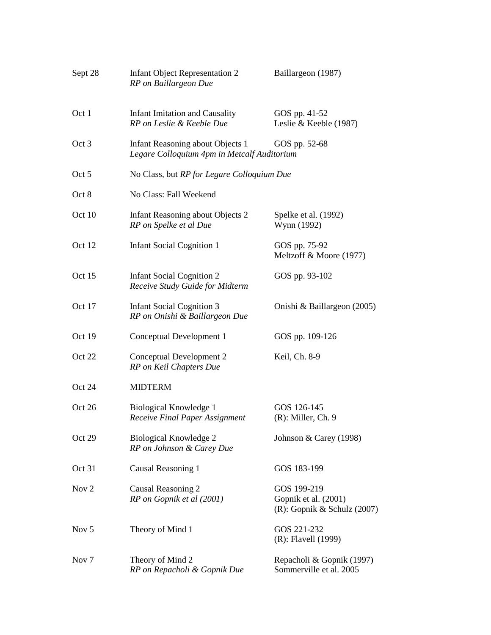| Sept 28          | <b>Infant Object Representation 2</b><br>RP on Baillargeon Due                  | Baillargeon (1987)                                                    |  |
|------------------|---------------------------------------------------------------------------------|-----------------------------------------------------------------------|--|
| Oct 1            | <b>Infant Imitation and Causality</b><br>RP on Leslie & Keeble Due              | GOS pp. 41-52<br>Leslie & Keeble (1987)                               |  |
| Oct 3            | Infant Reasoning about Objects 1<br>Legare Colloquium 4pm in Metcalf Auditorium | GOS pp. 52-68                                                         |  |
| Oct 5            | No Class, but RP for Legare Colloquium Due                                      |                                                                       |  |
| Oct 8            | No Class: Fall Weekend                                                          |                                                                       |  |
| Oct 10           | Infant Reasoning about Objects 2<br>RP on Spelke et al Due                      | Spelke et al. (1992)<br>Wynn (1992)                                   |  |
| Oct 12           | <b>Infant Social Cognition 1</b>                                                | GOS pp. 75-92<br>Meltzoff & Moore (1977)                              |  |
| Oct 15           | <b>Infant Social Cognition 2</b><br>Receive Study Guide for Midterm             | GOS pp. 93-102                                                        |  |
| Oct 17           | <b>Infant Social Cognition 3</b><br>RP on Onishi & Baillargeon Due              | Onishi & Baillargeon (2005)                                           |  |
| Oct 19           | Conceptual Development 1                                                        | GOS pp. 109-126                                                       |  |
| Oct 22           | Conceptual Development 2<br>RP on Keil Chapters Due                             | Keil, Ch. 8-9                                                         |  |
| Oct 24           | <b>MIDTERM</b>                                                                  |                                                                       |  |
| Oct 26           | Biological Knowledge 1<br>Receive Final Paper Assignment                        | GOS 126-145<br>$(R)$ : Miller, Ch. 9                                  |  |
| Oct 29           | Biological Knowledge 2<br>RP on Johnson & Carey Due                             | Johnson & Carey (1998)                                                |  |
| Oct 31           | Causal Reasoning 1                                                              | GOS 183-199                                                           |  |
| Nov <sub>2</sub> | Causal Reasoning 2<br>RP on Gopnik et al (2001)                                 | GOS 199-219<br>Gopnik et al. (2001)<br>$(R)$ : Gopnik & Schulz (2007) |  |
| Nov <sub>5</sub> | Theory of Mind 1                                                                | GOS 221-232<br>(R): Flavell (1999)                                    |  |
| Nov <sub>7</sub> | Theory of Mind 2<br>RP on Repacholi & Gopnik Due                                | Repacholi & Gopnik (1997)<br>Sommerville et al. 2005                  |  |